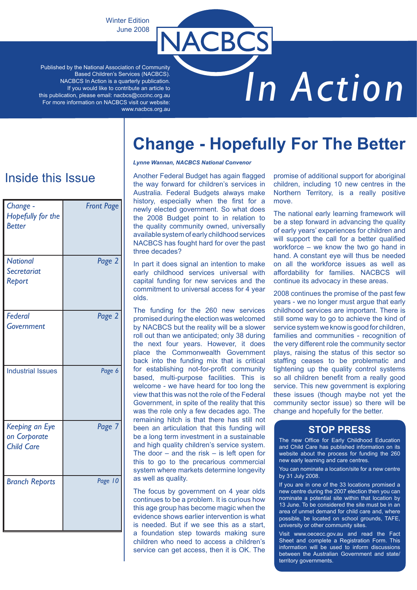Winter Edition June 2008

Published by the National Association of Community Based Children's Services (NACBCS). NACBCS In Action is a quarterly publication. If you would like to contribute an article to this publication, please email: nacbcs@cccinc.org.au For more information on NACBCS visit our website: www.nacbcs.org.au

# *In Action*

**Change - Hopefully For The Better**

# Inside this Issue

| Change -<br>Hopefully for the<br><b>Better</b>      | <b>Front Page</b> |
|-----------------------------------------------------|-------------------|
| <b>National</b><br>Secretariat<br>Report            | Page 2            |
| Federal<br>Government                               | Page 2            |
| <b>Industrial Issues</b>                            | Page 6            |
| Keeping an Eye<br>on Corporate<br><b>Child Care</b> | Page 7            |
| <b>Branch Reports</b>                               | Page 10           |

#### *Lynne Wannan, NACBCS National Convenor*

NACBCS

Another Federal Budget has again flagged the way forward for children's services in Australia. Federal Budgets always make history, especially when the first for a newly elected government. So what does the 2008 Budget point to in relation to the quality community owned, universally available system of early childhood services NACBCS has fought hard for over the past three decades?

In part it does signal an intention to make early childhood services universal with capital funding for new services and the commitment to universal access for 4 year olds.

The funding for the 260 new services promised during the election was welcomed by NACBCS but the reality will be a slower roll out than we anticipated; only 38 during the next four years. However, it does place the Commonwealth Government back into the funding mix that is critical for establishing not-for-profit community based, multi-purpose facilities. This is welcome - we have heard for too long the view that this was not the role of the Federal Government, in spite of the reality that this was the role only a few decades ago. The remaining hitch is that there has still not been an articulation that this funding will be a long term investment in a sustainable and high quality children's service system. The door  $-$  and the risk  $-$  is left open for this to go to the precarious commercial system where markets determine longevity as well as quality.

The focus by government on 4 year olds continues to be a problem. It is curious how this age group has become magic when the evidence shows earlier intervention is what is needed. But if we see this as a start, a foundation step towards making sure children who need to access a children's service can get access, then it is OK. The

promise of additional support for aboriginal children, including 10 new centres in the Northern Territory, is a really positive move.

The national early learning framework will be a step forward in advancing the quality of early years' experiences for children and will support the call for a better qualified workforce – we know the two go hand in hand. A constant eye will thus be needed on all the workforce issues as well as affordability for families. NACBCS will continue its advocacy in these areas.

2008 continues the promise of the past few years - we no longer must argue that early childhood services are important. There is still some way to go to achieve the kind of service system we know is good for children, families and communities - recognition of the very different role the community sector plays, raising the status of this sector so staffing ceases to be problematic and tightening up the quality control systems so all children benefit from a really good service. This new government is exploring these issues (though maybe not yet the community sector issue) so there will be change and hopefully for the better.

#### **STOP PRESS**

The new Office for Early Childhood Education and Child Care has published information on its website about the process for funding the 260 new early learning and care centres.

You can nominate a location/site for a new centre by 31 July 2008.

If you are in one of the 33 locations promised a new centre during the 2007 election then you can nominate a potential site within that location by 13 June. To be considered the site must be in an area of unmet demand for child care and, where possible, be located on school grounds, TAFE, university or other community sites.

Visit www.oececc.gov.au and read the Fact Sheet and complete a Registration Form. This information will be used to inform discussions between the Australian Government and state/ territory governments.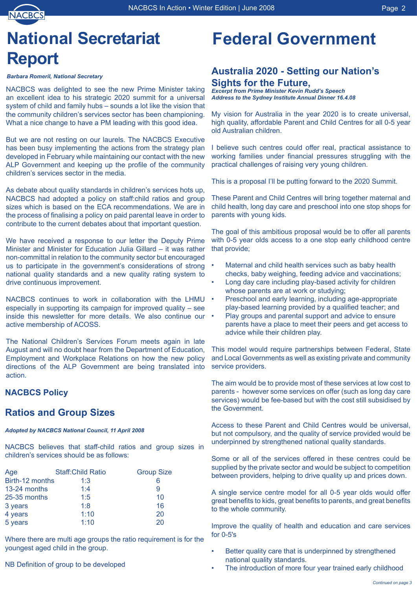

# **National Secretariat Report**

#### *Barbara Romeril, National Secretary*

NACBCS was delighted to see the new Prime Minister taking an excellent idea to his strategic 2020 summit for a universal system of child and family hubs – sounds a lot like the vision that the community children's services sector has been championing. What a nice change to have a PM leading with this good idea.

But we are not resting on our laurels. The NACBCS Executive has been busy implementing the actions from the strategy plan developed in February while maintaining our contact with the new ALP Government and keeping up the profile of the community children's services sector in the media.

As debate about quality standards in children's services hots up, NACBCS had adopted a policy on staff:child ratios and group sizes which is based on the ECA recommendations. We are in the process of finalising a policy on paid parental leave in order to contribute to the current debates about that important question.

We have received a response to our letter the Deputy Prime Minister and Minister for Education Julia Gillard – it was rather non-committal in relation to the community sector but encouraged us to participate in the government's considerations of strong national quality standards and a new quality rating system to drive continuous improvement.

NACBCS continues to work in collaboration with the LHMU especially in supporting its campaign for improved quality – see inside this newsletter for more details. We also continue our active membership of ACOSS.

The National Children's Services Forum meets again in late August and will no doubt hear from the Department of Education, Employment and Workplace Relations on how the new policy directions of the ALP Government are being translated into action.

#### **NACBCS Policy**

### **Ratios and Group Sizes**

#### *Adopted by NACBCS National Council, 11 April 2008*

NACBCS believes that staff-child ratios and group sizes in children's services should be as follows:

| Age             | <b>Staff: Child Ratio</b> | <b>Group Size</b> |
|-----------------|---------------------------|-------------------|
| Birth-12 months | 1:3                       | 6                 |
| 13-24 months    | 1:4                       | 9                 |
| 25-35 months    | 1:5                       | 10                |
| 3 years         | 1:8                       | 16                |
| 4 years         | 1:10                      | 20                |
| 5 years         | 1:10                      | 20                |

Where there are multi age groups the ratio requirement is for the youngest aged child in the group.

### NB Definition of group to be developed

# **Federal Government**

### **Australia 2020 - Setting our Nation's Sights for the Future,**

*Excerpt from Prime Minister Kevin Rudd's Speech Address to the Sydney Institute Annual Dinner 16.4.08*

My vision for Australia in the year 2020 is to create universal, high quality, affordable Parent and Child Centres for all 0-5 year old Australian children.

I believe such centres could offer real, practical assistance to working families under financial pressures struggling with the practical challenges of raising very young children.

This is a proposal I'll be putting forward to the 2020 Summit.

These Parent and Child Centres will bring together maternal and child health, long day care and preschool into one stop shops for parents with young kids.

The goal of this ambitious proposal would be to offer all parents with 0-5 year olds access to a one stop early childhood centre that provide;

- Maternal and child health services such as baby health checks, baby weighing, feeding advice and vaccinations; •
- Long day care including play-based activity for children whose parents are at work or studying; •
- Preschool and early learning, including age-appropriate play-based learning provided by a qualified teacher; and •
- Play groups and parental support and advice to ensure parents have a place to meet their peers and get access to advice while their children play. •

This model would require partnerships between Federal, State and Local Governments as well as existing private and community service providers.

The aim would be to provide most of these services at low cost to parents - however some services on offer (such as long day care services) would be fee-based but with the cost still subsidised by the Government.

Access to these Parent and Child Centres would be universal, but not compulsory, and the quality of service provided would be underpinned by strengthened national quality standards.

Some or all of the services offered in these centres could be supplied by the private sector and would be subject to competition between providers, helping to drive quality up and prices down.

A single service centre model for all 0-5 year olds would offer great benefits to kids, great benefits to parents, and great benefits to the whole community.

Improve the quality of health and education and care services for 0-5's

- Better quality care that is underpinned by strengthened national quality standards. •
- The introduction of more four year trained early childhood •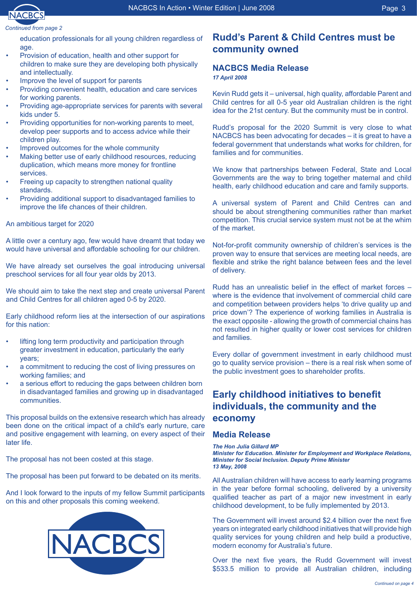

#### *Continued from page*

education professionals for all young children regardless of age.

- Provision of education, health and other support for children to make sure they are developing both physically and intellectually. •
- Improve the level of support for parents •
- Providing convenient health, education and care services for working parents. •
- Providing age-appropriate services for parents with several kids under 5. •
- Providing opportunities for non-working parents to meet, develop peer supports and to access advice while their children play. •
- Improved outcomes for the whole community •
- Making better use of early childhood resources, reducing duplication, which means more money for frontline services. •
- Freeing up capacity to strengthen national quality standards. •
- Providing additional support to disadvantaged families to improve the life chances of their children. •

#### An ambitious target for 2020

A little over a century ago, few would have dreamt that today we would have universal and affordable schooling for our children.

We have already set ourselves the goal introducing universal preschool services for all four year olds by 2013.

We should aim to take the next step and create universal Parent and Child Centres for all children aged 0-5 by 2020.

Early childhood reform lies at the intersection of our aspirations for this nation:

- lifting long term productivity and participation through greater investment in education, particularly the early years; •
- a commitment to reducing the cost of living pressures on working families; and •
- a serious effort to reducing the gaps between children born in disadvantaged families and growing up in disadvantaged communities. •

This proposal builds on the extensive research which has already been done on the critical impact of a child's early nurture, care and positive engagement with learning, on every aspect of their later life.

The proposal has not been costed at this stage.

The proposal has been put forward to be debated on its merits.

And I look forward to the inputs of my fellow Summit participants on this and other proposals this coming weekend.



### **Rudd's Parent & Child Centres must be community owned**

# **NACBCS Media Release**

*17 April 2008*

Kevin Rudd gets it – universal, high quality, affordable Parent and Child centres for all 0-5 year old Australian children is the right idea for the 21st century. But the community must be in control.

Rudd's proposal for the 2020 Summit is very close to what NACBCS has been advocating for decades – it is great to have a federal government that understands what works for children, for families and for communities.

We know that partnerships between Federal, State and Local Governments are the way to bring together maternal and child health, early childhood education and care and family supports.

A universal system of Parent and Child Centres can and should be about strengthening communities rather than market competition. This crucial service system must not be at the whim of the market.

Not-for-profit community ownership of children's services is the proven way to ensure that services are meeting local needs, are flexible and strike the right balance between fees and the level of delivery.

Rudd has an unrealistic belief in the effect of market forces – where is the evidence that involvement of commercial child care and competition between providers helps 'to drive quality up and price down'? The experience of working families in Australia is the exact opposite - allowing the growth of commercial chains has not resulted in higher quality or lower cost services for children and families.

Every dollar of government investment in early childhood must go to quality service provision – there is a real risk when some of the public investment goes to shareholder profits.

# **Early childhood initiatives to benefit individuals, the community and the economy**

#### **Media Release**

*The Hon Julia Gillard MP*

*Minister for Education. Minister for Employment and Workplace Relations, Minister for Social Inclusion. Deputy Prime Minister 13 May, 2008* 

All Australian children will have access to early learning programs in the year before formal schooling, delivered by a university qualified teacher as part of a major new investment in early childhood development, to be fully implemented by 2013.

The Government will invest around \$2.4 billion over the next five years on integrated early childhood initiatives that will provide high quality services for young children and help build a productive, modern economy for Australia's future.

Over the next five years, the Rudd Government will invest \$533.5 million to provide all Australian children, including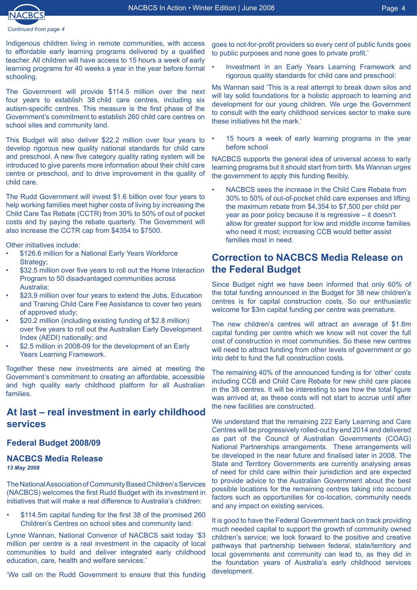

Indigenous children living in remote communities, with access to affordable early learning programs delivered by a qualified teacher. All children will have access to 15 hours a week of early learning programs for 40 weeks a year in the year before formal schooling.

The Government will provide \$114.5 million over the next four years to establish 38 child care centres, including six autism-specific centres. This measure is the first phase of the Government's commitment to establish 260 child care centres on school sites and community land.

This Budget will also deliver \$22.2 million over four years to develop rigorous new quality national standards for child care and preschool. A new five category quality rating system will be introduced to give parents more information about their child care centre or preschool, and to drive improvement in the quality of child care.

The Rudd Government will invest \$1.6 billion over four years to help working families meet higher costs of living by increasing the Child Care Tax Rebate (CCTR) from 30% to 50% of out of pocket costs and by paying the rebate quarterly. The Government will also increase the CCTR cap from \$4354 to \$7500.

Other initiatives include:

- \$126.6 million for a National Early Years Workforce Strategy: •
- \$32.5 million over five years to roll out the Home Interaction Program to 50 disadvantaged communities across Australia; •
- \$23.9 million over four years to extend the Jobs, Education and Training Child Care Fee Assistance to cover two years of approved study; •
- \$20.2 million (including existing funding of \$2.8 million) over five years to roll out the Australian Early Development Index (AEDI) nationally; and •
- \$2.5 million in 2008-09 for the development of an Early Years Learning Framework. •

Together these new investments are aimed at meeting the Government's commitment to creating an affordable, accessible and high quality early childhood platform for all Australian families.

#### **At last – real investment in early childhood services**

#### **Federal Budget 2008/09**

# **NACBCS Media Release**

*13 May 2008*

The National Association of Community Based Children's Services (NACBCS) welcomes the first Rudd Budget with its investment in initiatives that will make a real difference to Australia's children:

\$114.5m capital funding for the first 38 of the promised 260 Children's Centres on school sites and community land: •

Lynne Wannan, National Convenor of NACBCS said today '\$3 million per centre is a real investment in the capacity of local communities to build and deliver integrated early childhood education, care, health and welfare services.'

'We call on the Rudd Government to ensure that this funding

goes to not-for-profit providers so every cent of public funds goes to public purposes and none goes to private profit.'

Investment in an Early Years Learning Framework and rigorous quality standards for child care and preschool: •

Ms Wannan said 'This is a real attempt to break down silos and will lay solid foundations for a holistic approach to learning and development for our young children. We urge the Government to consult with the early childhood services sector to make sure these initiatives hit the mark.'

15 hours a week of early learning programs in the year before school •

NACBCS supports the general idea of universal access to early learning programs but it should start from birth. Ms Wannan urges the government to apply this funding flexibly.

NACBCS sees the increase in the Child Care Rebate from 30% to 50% of out-of-pocket child care expenses and lifting the maximum rebate from \$4,354 to \$7,500 per child per year as poor policy because it is regressive – it doesn't allow for greater support for low and middle income families who need it most; increasing CCB would better assist families most in need. •

#### **Correction to NACBCS Media Release on the Federal Budget**

Since Budget night we have been informed that only 60% of the total funding announced in the Budget for 38 new children's centres is for capital construction costs. So our enthusiastic welcome for \$3m capital funding per centre was premature.

The new children's centres will attract an average of \$1.8m capital funding per centre which we know will not cover the full cost of construction in most communities. So these new centres will need to attract funding from other levels of government or go into debt to fund the full construction costs.

The remaining 40% of the announced funding is for 'other' costs including CCB and Child Care Rebate for new child care places in the 38 centres. It will be interesting to see how the total figure was arrived at, as these costs will not start to accrue until after the new facilities are constructed.

We understand that the remaining 222 Early Learning and Care Centres will be progressively rolled-out by end 2014 and delivered as part of the Council of Australian Governments (COAG) National Partnerships arrangements. These arrangements will be developed in the near future and finalised later in 2008. The State and Territory Governments are currently analysing areas of need for child care within their jurisdiction and are expected to provide advice to the Australian Government about the best possible locations for the remaining centres taking into account factors such as opportunities for co-location, community needs and any impact on existing services.

It is good to have the Federal Government back on track providing much needed capital to support the growth of community owned children's service; we look forward to the positive and creative pathways that partnership between federal, state/territory and local governments and community can lead to, as they did in the foundation years of Australia's early childhood services development.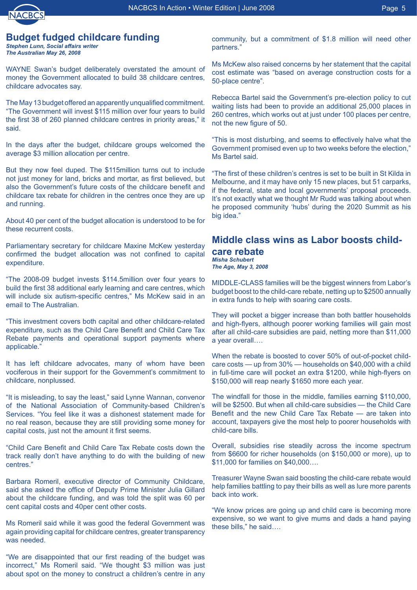

#### **Budget fudged childcare funding**

*Stephen Lunn, Social affairs writer The Australian May 26, 2008* 

WAYNE Swan's budget deliberately overstated the amount of money the Government allocated to build 38 childcare centres, childcare advocates say.

The May 13 budget offered an apparently unqualified commitment. "The Government will invest \$115 million over four years to build the first 38 of 260 planned childcare centres in priority areas," it said.

In the days after the budget, childcare groups welcomed the average \$3 million allocation per centre.

But they now feel duped. The \$115million turns out to include not just money for land, bricks and mortar, as first believed, but also the Government's future costs of the childcare benefit and childcare tax rebate for children in the centres once they are up and running.

About 40 per cent of the budget allocation is understood to be for these recurrent costs.

Parliamentary secretary for childcare Maxine McKew yesterday confirmed the budget allocation was not confined to capital expenditure.

"The 2008-09 budget invests \$114.5million over four years to build the first 38 additional early learning and care centres, which will include six autism-specific centres," Ms McKew said in an email to The Australian.

"This investment covers both capital and other childcare-related expenditure, such as the Child Care Benefit and Child Care Tax Rebate payments and operational support payments where applicable."

It has left childcare advocates, many of whom have been vociferous in their support for the Government's commitment to childcare, nonplussed.

"It is misleading, to say the least," said Lynne Wannan, convenor of the National Association of Community-based Children's Services. "You feel like it was a dishonest statement made for no real reason, because they are still providing some money for capital costs, just not the amount it first seems.

"Child Care Benefit and Child Care Tax Rebate costs down the track really don't have anything to do with the building of new centres."

Barbara Romeril, executive director of Community Childcare, said she asked the office of Deputy Prime Minister Julia Gillard about the childcare funding, and was told the split was 60 per cent capital costs and 40per cent other costs.

Ms Romeril said while it was good the federal Government was again providing capital for childcare centres, greater transparency was needed.

"We are disappointed that our first reading of the budget was incorrect," Ms Romeril said. "We thought \$3 million was just about spot on the money to construct a children's centre in any community, but a commitment of \$1.8 million will need other partners."

Ms McKew also raised concerns by her statement that the capital cost estimate was "based on average construction costs for a 50-place centre".

Rebecca Bartel said the Government's pre-election policy to cut waiting lists had been to provide an additional 25,000 places in 260 centres, which works out at just under 100 places per centre, not the new figure of 50.

"This is most disturbing, and seems to effectively halve what the Government promised even up to two weeks before the election," Ms Bartel said.

"The first of these children's centres is set to be built in St Kilda in Melbourne, and it may have only 15 new places, but 51 carparks, if the federal, state and local governments' proposal proceeds. It's not exactly what we thought Mr Rudd was talking about when he proposed community 'hubs' during the 2020 Summit as his big idea."

#### **Middle class wins as Labor boosts childcare rebate** *Misha Schubert*

*The Age, May 3, 2008*

MIDDLE-CLASS families will be the biggest winners from Labor's budget boost to the child-care rebate, netting up to \$2500 annually in extra funds to help with soaring care costs.

They will pocket a bigger increase than both battler households and high-flyers, although poorer working families will gain most after all child-care subsidies are paid, netting more than \$11,000 a year overall….

When the rebate is boosted to cover 50% of out-of-pocket childcare costs — up from 30% — households on \$40,000 with a child in full-time care will pocket an extra \$1200, while high-flyers on \$150,000 will reap nearly \$1650 more each year.

The windfall for those in the middle, families earning \$110,000, will be \$2500. But when all child-care subsidies — the Child Care Benefit and the new Child Care Tax Rebate — are taken into account, taxpayers give the most help to poorer households with child-care bills.

Overall, subsidies rise steadily across the income spectrum from \$6600 for richer households (on \$150,000 or more), up to \$11,000 for families on \$40,000….

Treasurer Wayne Swan said boosting the child-care rebate would help families battling to pay their bills as well as lure more parents back into work.

"We know prices are going up and child care is becoming more expensive, so we want to give mums and dads a hand paying these bills," he said….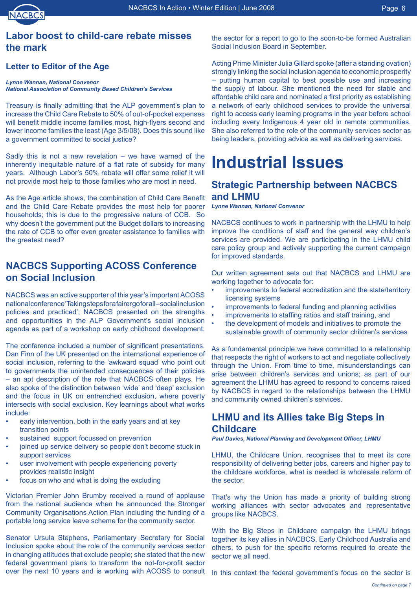### **Labor boost to child-care rebate misses the mark**

#### **Letter to Editor of the Age**

#### *Lynne Wannan, National Convenor National Association of Community Based Children's Services*

Treasury is finally admitting that the ALP government's plan to increase the Child Care Rebate to 50% of out-of-pocket expenses will benefit middle income families most, high-flyers second and lower income families the least (Age 3/5/08). Does this sound like a government committed to social justice?

Sadly this is not a new revelation – we have warned of the inherently inequitable nature of a flat rate of subsidy for many years. Although Labor's 50% rebate will offer some relief it will not provide most help to those families who are most in need.

As the Age article shows, the combination of Child Care Benefit and the Child Care Rebate provides the most help for poorer households; this is due to the progressive nature of CCB. So why doesn't the government put the Budget dollars to increasing the rate of CCB to offer even greater assistance to families with the greatest need?

## **NACBCS Supporting ACOSS Conference on Social Inclusion**

NACBCS was an active supporter of this year's important ACOSS national conference 'Taking steps for a fairer go for all-social inclusion policies and practiced'; NACBCS presented on the strengths and opportunities in the ALP Government's social inclusion agenda as part of a workshop on early childhood development.

The conference included a number of significant presentations. Dan Finn of the UK presented on the international experience of social inclusion, referring to the 'awkward squad' who point out to governments the unintended consequences of their policies – an apt description of the role that NACBCS often plays. He also spoke of the distinction between 'wide' and 'deep' exclusion and the focus in UK on entrenched exclusion, where poverty intersects with social exclusion. Key learnings about what works include:

- early intervention, both in the early years and at key transition points •
- sustained support focussed on prevention •
- joined up service delivery so people don't become stuck in support services •
- user involvement with people experiencing poverty provides realistic insight •
- focus on who and what is doing the excluding •

Victorian Premier John Brumby received a round of applause from the national audience when he announced the Stronger Community Organisations Action Plan including the funding of a portable long service leave scheme for the community sector.

Senator Ursula Stephens, Parliamentary Secretary for Social Inclusion spoke about the role of the community services sector in changing attitudes that exclude people; she stated that the new federal government plans to transform the not-for-profit sector over the next 10 years and is working with ACOSS to consult

the sector for a report to go to the soon-to-be formed Australian Social Inclusion Board in September.

Acting Prime Minister Julia Gillard spoke (after a standing ovation) strongly linking the social inclusion agenda to economic prosperity – putting human capital to best possible use and increasing the supply of labour. She mentioned the need for stable and affordable child care and nominated a first priority as establishing a network of early childhood services to provide the universal right to access early learning programs in the year before school including every Indigenous 4 year old in remote communities. She also referred to the role of the community services sector as being leaders, providing advice as well as delivering services.

# **Industrial Issues**

#### **Strategic Partnership between NACBCS and LHMU**

*Lynne Wannan, National Convenor*

NACBCS continues to work in partnership with the LHMU to help improve the conditions of staff and the general way children's services are provided. We are participating in the LHMU child care policy group and actively supporting the current campaign for improved standards.

Our written agreement sets out that NACBCS and LHMU are working together to advocate for:

- improvements to federal accreditation and the state/territory licensing systems •
- improvements to federal funding and planning activities •
- improvements to staffing ratios and staff training, and •
- the development of models and initiatives to promote the sustainable growth of community sector children's services •

As a fundamental principle we have committed to a relationship that respects the right of workers to act and negotiate collectively through the Union. From time to time, misunderstandings can arise between children's services and unions; as part of our agreement the LHMU has agreed to respond to concerns raised by NACBCS in regard to the relationships between the LHMU and community owned children's services.

#### **LHMU and its Allies take Big Steps in Childcare**

*Paul Davies, National Planning and Development Officer, LHMU*

LHMU, the Childcare Union, recognises that to meet its core responsibility of delivering better jobs, careers and higher pay to the childcare workforce, what is needed is wholesale reform of the sector.

That's why the Union has made a priority of building strong working alliances with sector advocates and representative groups like NACBCS.

With the Big Steps in Childcare campaign the LHMU brings together its key allies in NACBCS, Early Childhood Australia and others, to push for the specific reforms required to create the sector we all need.

In this context the federal government's focus on the sector is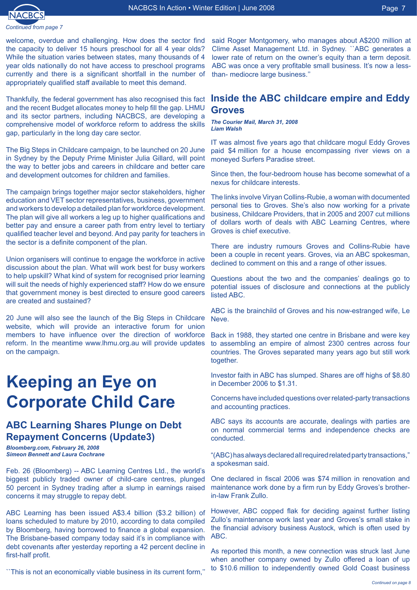

welcome, overdue and challenging. How does the sector find the capacity to deliver 15 hours preschool for all 4 year olds? While the situation varies between states, many thousands of 4 year olds nationally do not have access to preschool programs currently and there is a significant shortfall in the number of appropriately qualified staff available to meet this demand.

Thankfully, the federal government has also recognised this fact and the recent Budget allocates money to help fill the gap. LHMU and its sector partners, including NACBCS, are developing a comprehensive model of workforce reform to address the skills gap, particularly in the long day care sector.

The Big Steps in Childcare campaign, to be launched on 20 June in Sydney by the Deputy Prime Minister Julia Gillard, will point the way to better jobs and careers in childcare and better care and development outcomes for children and families.

The campaign brings together major sector stakeholders, higher education and VET sector representatives, business, government and workers to develop a detailed plan for workforce development. The plan will give all workers a leg up to higher qualifications and better pay and ensure a career path from entry level to tertiary qualified teacher level and beyond. And pay parity for teachers in the sector is a definite component of the plan.

Union organisers will continue to engage the workforce in active discussion about the plan. What will work best for busy workers to help upskill? What kind of system for recognised prior learning will suit the needs of highly experienced staff? How do we ensure that government money is best directed to ensure good careers are created and sustained?

20 June will also see the launch of the Big Steps in Childcare website, which will provide an interactive forum for union members to have influence over the direction of workforce reform. In the meantime www.lhmu.org.au will provide updates on the campaign.

# **Keeping an Eye on Corporate Child Care**

#### **ABC Learning Shares Plunge on Debt Repayment Concerns (Update3)**

*Bloomberg.com, February 26, 2008 Simeon Bennett and Laura Cochrane*

Feb. 26 (Bloomberg) -- ABC Learning Centres Ltd., the world's biggest publicly traded owner of child-care centres, plunged 50 percent in Sydney trading after a slump in earnings raised concerns it may struggle to repay debt.

ABC Learning has been issued A\$3.4 billion (\$3.2 billion) of loans scheduled to mature by 2010, according to data compiled by Bloomberg, having borrowed to finance a global expansion. The Brisbane-based company today said it's in compliance with debt covenants after yesterday reporting a 42 percent decline in first-half profit.

``This is not an economically viable business in its current form,''

said Roger Montgomery, who manages about A\$200 million at Clime Asset Management Ltd. in Sydney. ``ABC generates a lower rate of return on the owner's equity than a term deposit. ABC was once a very profitable small business. It's now a lessthan- mediocre large business.''

#### **Inside the ABC childcare empire and Eddy Groves**

*The Courier Mail, March 31, 2008 Liam Walsh*

IT was almost five years ago that childcare mogul Eddy Groves paid \$4 million for a house encompassing river views on a moneyed Surfers Paradise street.

Since then, the four-bedroom house has become somewhat of a nexus for childcare interests.

The links involve Viryan Collins-Rubie, a woman with documented personal ties to Groves. She's also now working for a private business, Childcare Providers, that in 2005 and 2007 cut millions of dollars worth of deals with ABC Learning Centres, where Groves is chief executive.

There are industry rumours Groves and Collins-Rubie have been a couple in recent years. Groves, via an ABC spokesman, declined to comment on this and a range of other issues.

Questions about the two and the companies' dealings go to potential issues of disclosure and connections at the publicly listed ABC.

ABC is the brainchild of Groves and his now-estranged wife, Le Neve.

Back in 1988, they started one centre in Brisbane and were key to assembling an empire of almost 2300 centres across four countries. The Groves separated many years ago but still work together.

Investor faith in ABC has slumped. Shares are off highs of \$8.80 in December 2006 to \$1.31.

Concerns have included questions over related-party transactions and accounting practices.

ABC says its accounts are accurate, dealings with parties are on normal commercial terms and independence checks are conducted.

"(ABC) has always declared all required related party transactions," a spokesman said.

One declared in fiscal 2006 was \$74 million in renovation and maintenance work done by a firm run by Eddy Groves's brotherin-law Frank Zullo.

However, ABC copped flak for deciding against further listing Zullo's maintenance work last year and Groves's small stake in the financial advisory business Austock, which is often used by ABC.

As reported this month, a new connection was struck last June when another company owned by Zullo offered a loan of up to \$10.6 million to independently owned Gold Coast business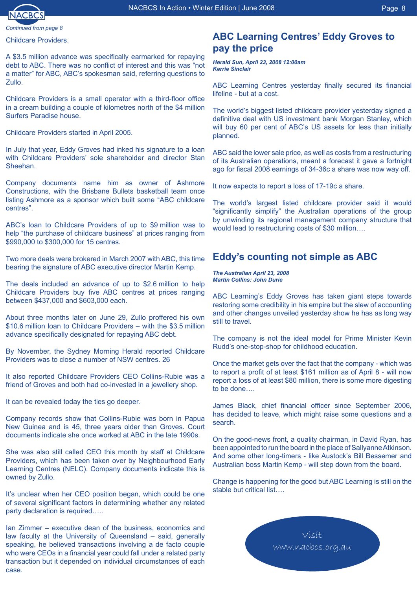

*Continued from page* 

Childcare Providers.

A \$3.5 million advance was specifically earmarked for repaying debt to ABC. There was no conflict of interest and this was "not a matter" for ABC, ABC's spokesman said, referring questions to Zullo.

Childcare Providers is a small operator with a third-floor office in a cream building a couple of kilometres north of the \$4 million Surfers Paradise house.

Childcare Providers started in April 2005.

In July that year, Eddy Groves had inked his signature to a loan with Childcare Providers' sole shareholder and director Stan Sheehan.

Company documents name him as owner of Ashmore Constructions, with the Brisbane Bullets basketball team once listing Ashmore as a sponsor which built some "ABC childcare centres".

ABC's loan to Childcare Providers of up to \$9 million was to help "the purchase of childcare business" at prices ranging from \$990,000 to \$300,000 for 15 centres.

Two more deals were brokered in March 2007 with ABC, this time bearing the signature of ABC executive director Martin Kemp.

The deals included an advance of up to \$2.6 million to help Childcare Providers buy five ABC centres at prices ranging between \$437,000 and \$603,000 each.

About three months later on June 29, Zullo proffered his own \$10.6 million loan to Childcare Providers – with the \$3.5 million advance specifically designated for repaying ABC debt.

By November, the Sydney Morning Herald reported Childcare Providers was to close a number of NSW centres. 26

It also reported Childcare Providers CEO Collins-Rubie was a friend of Groves and both had co-invested in a jewellery shop.

It can be revealed today the ties go deeper.

Company records show that Collins-Rubie was born in Papua New Guinea and is 45, three years older than Groves. Court documents indicate she once worked at ABC in the late 1990s.

She was also still called CEO this month by staff at Childcare Providers, which has been taken over by Neighbourhood Early Learning Centres (NELC). Company documents indicate this is owned by Zullo.

It's unclear when her CEO position began, which could be one of several significant factors in determining whether any related party declaration is required…..

Ian Zimmer – executive dean of the business, economics and law faculty at the University of Queensland – said, generally speaking, he believed transactions involving a de facto couple who were CEOs in a financial year could fall under a related party transaction but it depended on individual circumstances of each case.

#### **ABC Learning Centres' Eddy Groves to pay the price**

*Herald Sun, April 23, 2008 12:00am Kerrie Sinclair*

ABC Learning Centres yesterday finally secured its financial lifeline - but at a cost.

The world's biggest listed childcare provider yesterday signed a definitive deal with US investment bank Morgan Stanley, which will buy 60 per cent of ABC's US assets for less than initially planned.

ABC said the lower sale price, as well as costs from a restructuring of its Australian operations, meant a forecast it gave a fortnight ago for fiscal 2008 earnings of 34-36c a share was now way off.

It now expects to report a loss of 17-19c a share.

The world's largest listed childcare provider said it would "significantly simplify" the Australian operations of the group by unwinding its regional management company structure that would lead to restructuring costs of \$30 million….

#### **Eddy's counting not simple as ABC**

*The Australian April 23, 2008 Martin Collins: John Durie* 

ABC Learning's Eddy Groves has taken giant steps towards restoring some credibility in his empire but the slew of accounting and other changes unveiled yesterday show he has as long way still to travel.

The company is not the ideal model for Prime Minister Kevin Rudd's one-stop-shop for childhood education.

Once the market gets over the fact that the company - which was to report a profit of at least \$161 million as of April 8 - will now report a loss of at least \$80 million, there is some more digesting to be done….

James Black, chief financial officer since September 2006, has decided to leave, which might raise some questions and a search.

On the good-news front, a quality chairman, in David Ryan, has been appointed to run the board in the place of Sallyanne Atkinson. And some other long-timers - like Austock's Bill Bessemer and Australian boss Martin Kemp - will step down from the board.

Change is happening for the good but ABC Learning is still on the stable but critical list....

**Visit** www.nacbcs.org.au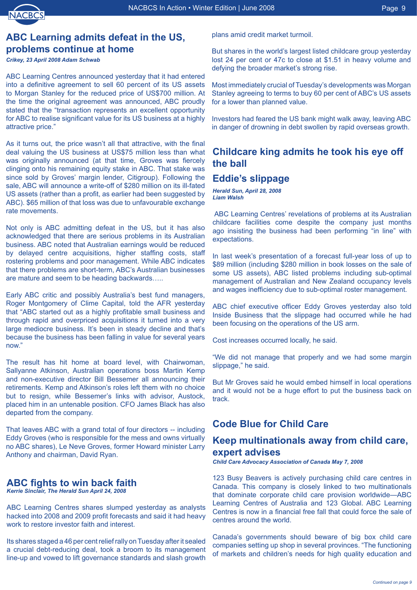# **ABC Learning admits defeat in the US, problems continue at home**

*Crikey, 23 April 2008 Adam Schwab* 

ABC Learning Centres announced yesterday that it had entered into a definitive agreement to sell 60 percent of its US assets to Morgan Stanley for the reduced price of US\$700 million. At the time the original agreement was announced, ABC proudly stated that the "transaction represents an excellent opportunity for ABC to realise significant value for its US business at a highly attractive price."

As it turns out, the price wasn't all that attractive, with the final deal valuing the US business at US\$75 million less than what was originally announced (at that time, Groves was fiercely clinging onto his remaining equity stake in ABC. That stake was since sold by Groves' margin lender, Citigroup). Following the sale, ABC will announce a write-off of \$280 million on its ill-fated US assets (rather than a profit, as earlier had been suggested by ABC). \$65 million of that loss was due to unfavourable exchange rate movements.

Not only is ABC admitting defeat in the US, but it has also acknowledged that there are serious problems in its Australian business. ABC noted that Australian earnings would be reduced by delayed centre acquisitions, higher staffing costs, staff rostering problems and poor management. While ABC indicates that there problems are short-term, ABC's Australian businesses are mature and seem to be heading backwards…..

Early ABC critic and possibly Australia's best fund managers, Roger Montgomery of Clime Capital, told the AFR yesterday that "ABC started out as a highly profitable small business and through rapid and overpriced acquisitions it turned into a very large mediocre business. It's been in steady decline and that's because the business has been falling in value for several years now."

The result has hit home at board level, with Chairwoman, Sallyanne Atkinson, Australian operations boss Martin Kemp and non-executive director Bill Bessemer all announcing their retirements. Kemp and Atkinson's roles left them with no choice but to resign, while Bessemer's links with advisor, Austock, placed him in an untenable position. CFO James Black has also departed from the company.

That leaves ABC with a grand total of four directors -- including Eddy Groves (who is responsible for the mess and owns virtually no ABC shares), Le Neve Groves, former Howard minister Larry Anthony and chairman, David Ryan.

### **ABC fights to win back faith**

*Kerrie Sinclair, The Herald Sun April 24, 2008* 

ABC Learning Centres shares slumped yesterday as analysts hacked into 2008 and 2009 profit forecasts and said it had heavy work to restore investor faith and interest.

Its shares staged a 46 per cent relief rally on Tuesday after it sealed a crucial debt-reducing deal, took a broom to its management line-up and vowed to lift governance standards and slash growth

plans amid credit market turmoil.

But shares in the world's largest listed childcare group yesterday lost 24 per cent or 47c to close at \$1.51 in heavy volume and defying the broader market's strong rise.

Most immediately crucial of Tuesday's developments was Morgan Stanley agreeing to terms to buy 60 per cent of ABC's US assets for a lower than planned value.

Investors had feared the US bank might walk away, leaving ABC in danger of drowning in debt swollen by rapid overseas growth.

### **Childcare king admits he took his eye off the ball**

# **Eddie's slippage**

*Herald Sun, April 28, 2008 Liam Walsh* 

ABC Learning Centres' revelations of problems at its Australian childcare facilities come despite the company just months ago insisting the business had been performing "in line" with expectations.

In last week's presentation of a forecast full-year loss of up to \$89 million (including \$280 million in book losses on the sale of some US assets), ABC listed problems including sub-optimal management of Australian and New Zealand occupancy levels and wages inefficiency due to sub-optimal roster management.

ABC chief executive officer Eddy Groves yesterday also told Inside Business that the slippage had occurred while he had been focusing on the operations of the US arm.

Cost increases occurred locally, he said.

"We did not manage that properly and we had some margin slippage," he said.

But Mr Groves said he would embed himself in local operations and it would not be a huge effort to put the business back on track.

# **Code Blue for Child Care**

#### **Keep multinationals away from child care, expert advises**

*Child Care Advocacy Association of Canada May 7, 2008* 

123 Busy Beavers is actively purchasing child care centres in Canada. This company is closely linked to two multinationals that dominate corporate child care provision worldwide—ABC Learning Centres of Australia and 123 Global. ABC Learning Centres is now in a financial free fall that could force the sale of centres around the world.

Canada's governments should beware of big box child care companies setting up shop in several provinces. "The functioning of markets and children's needs for high quality education and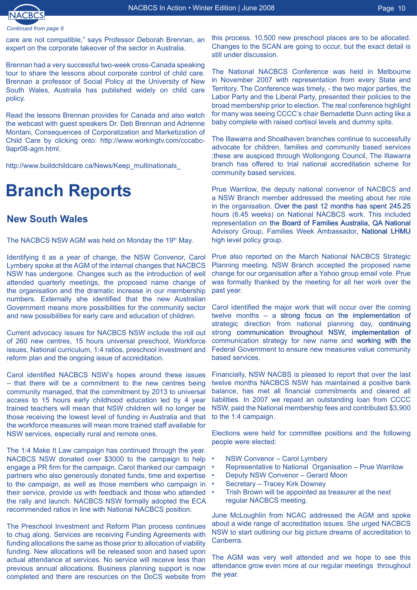

*Continued from page* 

care are not compatible," says Professor Deborah Brennan, an expert on the corporate takeover of the sector in Australia.

Brennan had a very successful two-week cross-Canada speaking tour to share the lessons about corporate control of child care. Brennan a professor of Social Policy at the University of New South Wales, Australia has published widely on child care policy.

Read the lessons Brennan provides for Canada and also watch the webcast with guest speakers Dr. Deb Brennan and Adrienne Montani, Consequences of Corporatization and Marketization of Child Care by clicking onto: http://www.workingtv.com/cccabc-9apr08-agm.html.

http://www.buildchildcare.ca/News/Keep\_multinationals

# **Branch Reports**

### **New South Wales**

The NACBCS NSW AGM was held on Monday the 19th May.

Identifying it as a year of change, the NSW Convenor, Carol Lymbery spoke at the AGM of the internal changes that NACBCS NSW has undergone. Changes such as the introduction of well attended quarterly meetings, the proposed name change of the organisation and the dramatic increase in our membership numbers. Externally she identified that the new Australian Government means more possibilities for the community sector and new possibilities for early care and education of children.

Current advocacy issues for NACBCS NSW include the roll out of 260 new centres, 15 hours universal preschool, Workforce issues, National curriculum, 1:4 ratios, preschool investment and reform plan and the ongoing issue of accreditation.

Carol identified NACBCS NSW's hopes around these issues – that there will be a commitment to the new centres being community managed, that the commitment by 2013 to universal access to 15 hours early childhood education led by 4 year trained teachers will mean that NSW children will no longer be those receiving the lowest level of funding in Australia and that the workforce measures will mean more trained staff available for NSW services, especially rural and remote ones.

The 1:4 Make It Law campaign has continued through the year. NACBCS NSW donated over \$3000 to the campaign to help engage a PR firm for the campaign. Carol thanked our campaign partners who also generously donated funds, time and expertise to the campaign, as well as those members who campaign in their service, provide us with feedback and those who attended the rally and launch. NACBCS NSW formally adopted the ECA recommended ratios in line with National NACBCS position.

The Preschool Investment and Reform Plan process continues to chug along. Services are receiving Funding Agreements with funding allocations the same as those prior to allocation of viability funding. New allocations will be released soon and based upon actual attendance at services. No service will receive less than previous annual allocations. Business planning support is now completed and there are resources on the DoCS website from

this process. 10,500 new preschool places are to be allocated. Changes to the SCAN are going to occur, but the exact detail is still under discussion.

The National NACBCS Conference was held in Melbourne in November 2007 with representation from every State and Territory. The Conference was timely, - the two major parties, the Labor Party and the Liberal Party, presented their policies to the broad membership prior to election. The real conference highlight for many was seeing CCCC's chair Bernadette Dunn acting like a baby complete with raised cortisol levels and dummy spits.

The Illawarra and Shoalhaven branches continue to successfully advocate for children, families and community based services ;these are auspiced through Wollongong Council, The Illawarra branch has offered to trial national accreditation scheme for community based services.

Prue Warrilow, the deputy national convenor of NACBCS and a NSW Branch member addressed the meeting about her role in the organisation. Over the past 12 months has spent 245.25 hours (6.45 weeks) on National NACBCS work. This included representation on the Board of Families Australia, QA National Advisory Group, Families Week Ambassador, National LHMU high level policy group.

Prue also reported on the March National NACBCS Strategic Planning meeting. NSW Branch accepted the proposed name change for our organisation after a Yahoo group email vote. Prue was formally thanked by the meeting for all her work over the past year.

Carol identified the major work that will occur over the coming twelve months – a strong focus on the implementation of strategic direction from national planning day, continuing strong communication throughout NSW, implementation of communication strategy for new name and working with the Federal Government to ensure new measures value community based services.

Financially, NSW NACBS is pleased to report that over the last twelve months NACBCS NSW has maintained a positive bank balance, has met all financial commitments and cleared all liabilities. In 2007 we repaid an outstanding loan from CCCC NSW, paid the National membership fees and contributed \$3,900 to the 1:4 campaign.

Elections were held for committee positions and the following people were elected:

- NSW Convenor Carol Lymbery •
- Representative to National Organisation Prue Warrilow •
- Deputy NSW Convenor Gerard Moon •
- Secretary Tracey Kirk Downey •
- Trish Brown will be appointed as treasurer at the next regular NACBCS meeting. •

June McLoughlin from NCAC addressed the AGM and spoke about a wide range of accreditation issues. She urged NACBCS NSW to start outlining our big picture dreams of accreditation to Canberra.

The AGM was very well attended and we hope to see this attendance grow even more at our regular meetings throughout the year.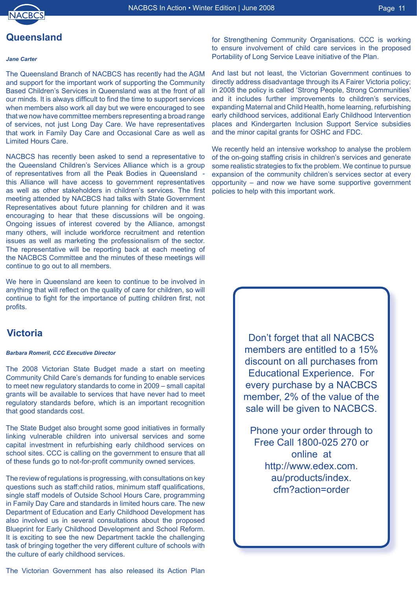

#### **Queensland**

#### *Jane Carter*

The Queensland Branch of NACBCS has recently had the AGM and support for the important work of supporting the Community Based Children's Services in Queensland was at the front of all our minds. It is always difficult to find the time to support services when members also work all day but we were encouraged to see that we now have committee members representing a broad range of services, not just Long Day Care. We have representatives that work in Family Day Care and Occasional Care as well as Limited Hours Care.

NACBCS has recently been asked to send a representative to the Queensland Children's Services Alliance which is a group of representatives from all the Peak Bodies in Queensland this Alliance will have access to government representatives as well as other stakeholders in children's services. The first meeting attended by NACBCS had talks with State Government Representatives about future planning for children and it was encouraging to hear that these discussions will be ongoing. Ongoing issues of interest covered by the Alliance, amongst many others, will include workforce recruitment and retention issues as well as marketing the professionalism of the sector. The representative will be reporting back at each meeting of the NACBCS Committee and the minutes of these meetings will continue to go out to all members.

We here in Queensland are keen to continue to be involved in anything that will reflect on the quality of care for children, so will continue to fight for the importance of putting children first, not profits.

#### **Victoria**

#### *Barbara Romeril, CCC Executive Director*

The 2008 Victorian State Budget made a start on meeting Community Child Care's demands for funding to enable services to meet new regulatory standards to come in 2009 – small capital grants will be available to services that have never had to meet regulatory standards before, which is an important recognition that good standards cost.

The State Budget also brought some good initiatives in formally linking vulnerable children into universal services and some capital investment in refurbishing early childhood services on school sites. CCC is calling on the government to ensure that all of these funds go to not-for-profit community owned services.

The review of regulations is progressing, with consultations on key questions such as staff:child ratios, minimum staff qualifications, single staff models of Outside School Hours Care, programming in Family Day Care and standards in limited hours care. The new Department of Education and Early Childhood Development has also involved us in several consultations about the proposed Blueprint for Early Childhood Development and School Reform. It is exciting to see the new Department tackle the challenging task of bringing together the very different culture of schools with the culture of early childhood services.

for Strengthening Community Organisations. CCC is working to ensure involvement of child care services in the proposed Portability of Long Service Leave initiative of the Plan.

And last but not least, the Victorian Government continues to directly address disadvantage through its A Fairer Victoria policy; in 2008 the policy is called 'Strong People, Strong Communities' and it includes further improvements to children's services, expanding Maternal and Child Health, home learning, refurbishing early childhood services, additional Early Childhood Intervention places and Kindergarten Inclusion Support Service subsidies and the minor capital grants for OSHC and FDC.

We recently held an intensive workshop to analyse the problem of the on-going staffing crisis in children's services and generate some realistic strategies to fix the problem. We continue to pursue expansion of the community children's services sector at every opportunity – and now we have some supportive government policies to help with this important work.

> Don't forget that all NACBCS members are entitled to a 15% discount on all purchases from Educational Experience. For every purchase by a NACBCS member, 2% of the value of the sale will be given to NACBCS.

Phone your order through to Free Call 1800-025 270 or online at http://www.edex.com. au/products/index. cfm?action=order